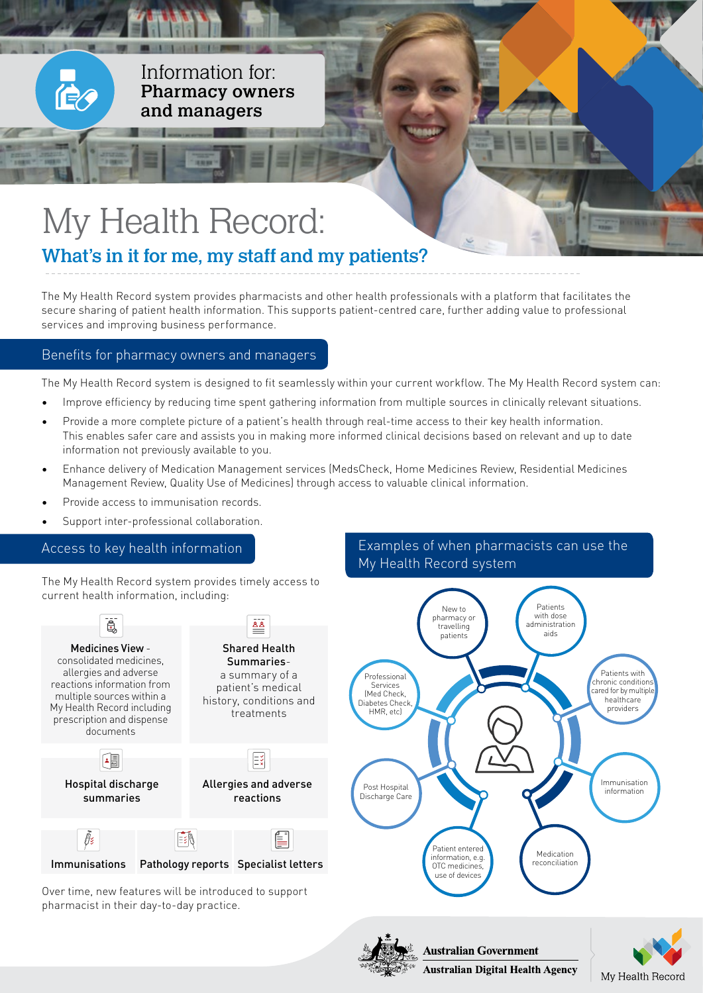

# My Health Record:

## What's in it for me, my staff and my patients?

The My Health Record system provides pharmacists and other health professionals with a platform that facilitates the secure sharing of patient health information. This supports patient-centred care, further adding value to professional services and improving business performance.

#### Benefits for pharmacy owners and managers

The My Health Record system is designed to fit seamlessly within your current workflow. The My Health Record system can:

- Improve efficiency by reducing time spent gathering information from multiple sources in clinically relevant situations.
- Provide a more complete picture of a patient's health through real-time access to their key health information. This enables safer care and assists you in making more informed clinical decisions based on relevant and up to date information not previously available to you.
- Enhance delivery of Medication Management services (MedsCheck, Home Medicines Review, Residential Medicines Management Review, Quality Use of Medicines) through access to valuable clinical information.
- Provide access to immunisation records.
- Support inter-professional collaboration.

The My Health Record system provides timely access to current health information, including:



Over time, new features will be introduced to support pharmacist in their day-to-day practice.

### Access to key health information **Examples** of when pharmacists can use the My Health Record system





**Australian Government Australian Digital Health Agency**